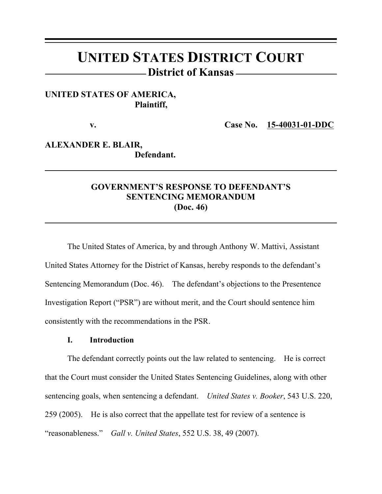# **UNITED STATES DISTRICT COURT District of Kansas**

# **UNITED STATES OF AMERICA, Plaintiff,**

**v. Case No. 15-40031-01-DDC**

# **ALEXANDER E. BLAIR, Defendant.**

# **GOVERNMENT'S RESPONSE TO DEFENDANT'S SENTENCING MEMORANDUM (Doc. 46)**

The United States of America, by and through Anthony W. Mattivi, Assistant United States Attorney for the District of Kansas, hereby responds to the defendant's Sentencing Memorandum (Doc. 46). The defendant's objections to the Presentence Investigation Report ("PSR") are without merit, and the Court should sentence him consistently with the recommendations in the PSR.

## **I. Introduction**

The defendant correctly points out the law related to sentencing. He is correct that the Court must consider the United States Sentencing Guidelines, along with other sentencing goals, when sentencing a defendant. *United States v. Booker*, 543 U.S. 220, 259 (2005). He is also correct that the appellate test for review of a sentence is "reasonableness." *Gall v. United States*, 552 U.S. 38, 49 (2007).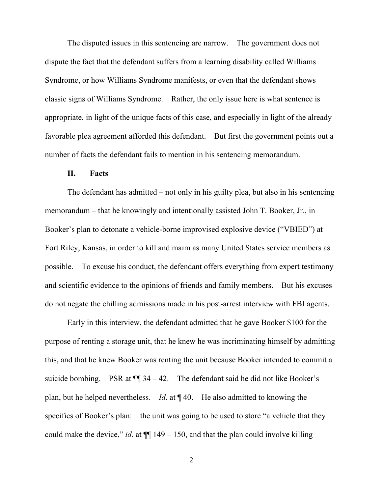The disputed issues in this sentencing are narrow. The government does not dispute the fact that the defendant suffers from a learning disability called Williams Syndrome, or how Williams Syndrome manifests, or even that the defendant shows classic signs of Williams Syndrome. Rather, the only issue here is what sentence is appropriate, in light of the unique facts of this case, and especially in light of the already favorable plea agreement afforded this defendant. But first the government points out a number of facts the defendant fails to mention in his sentencing memorandum.

#### **II. Facts**

The defendant has admitted – not only in his guilty plea, but also in his sentencing memorandum – that he knowingly and intentionally assisted John T. Booker, Jr., in Booker's plan to detonate a vehicle-borne improvised explosive device ("VBIED") at Fort Riley, Kansas, in order to kill and maim as many United States service members as possible. To excuse his conduct, the defendant offers everything from expert testimony and scientific evidence to the opinions of friends and family members. But his excuses do not negate the chilling admissions made in his post-arrest interview with FBI agents.

Early in this interview, the defendant admitted that he gave Booker \$100 for the purpose of renting a storage unit, that he knew he was incriminating himself by admitting this, and that he knew Booker was renting the unit because Booker intended to commit a suicide bombing. PSR at  $\P$  34 – 42. The defendant said he did not like Booker's plan, but he helped nevertheless. *Id*. at ¶ 40. He also admitted to knowing the specifics of Booker's plan: the unit was going to be used to store "a vehicle that they could make the device," *id.* at  $\P$  149 – 150, and that the plan could involve killing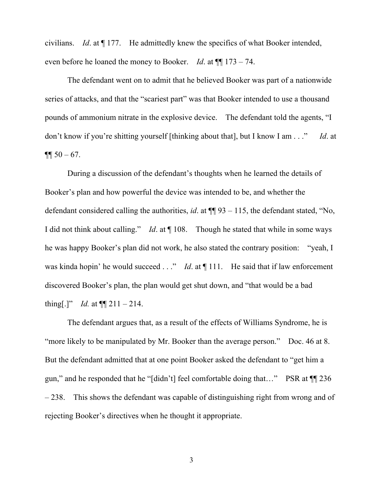civilians. *Id*. at ¶ 177. He admittedly knew the specifics of what Booker intended, even before he loaned the money to Booker. *Id*. at ¶¶ 173 – 74.

The defendant went on to admit that he believed Booker was part of a nationwide series of attacks, and that the "scariest part" was that Booker intended to use a thousand pounds of ammonium nitrate in the explosive device. The defendant told the agents, "I don't know if you're shitting yourself [thinking about that], but I know I am . . ." *Id*. at  $\P\P$  50 – 67.

During a discussion of the defendant's thoughts when he learned the details of Booker's plan and how powerful the device was intended to be, and whether the defendant considered calling the authorities, *id*. at  $\P$  93 – 115, the defendant stated, "No, I did not think about calling." *Id*. at ¶ 108. Though he stated that while in some ways he was happy Booker's plan did not work, he also stated the contrary position: "yeah, I was kinda hopin' he would succeed . . ." *Id*. at  $\P$  111. He said that if law enforcement discovered Booker's plan, the plan would get shut down, and "that would be a bad thing[.]" *Id.* at  $\P\P$  211 – 214.

The defendant argues that, as a result of the effects of Williams Syndrome, he is "more likely to be manipulated by Mr. Booker than the average person." Doc. 46 at 8. But the defendant admitted that at one point Booker asked the defendant to "get him a gun," and he responded that he "[didn't] feel comfortable doing that…" PSR at ¶¶ 236 – 238. This shows the defendant was capable of distinguishing right from wrong and of rejecting Booker's directives when he thought it appropriate.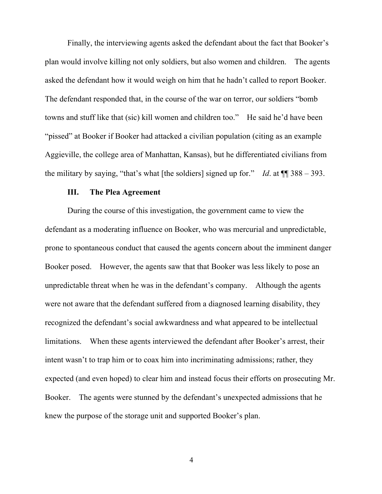Finally, the interviewing agents asked the defendant about the fact that Booker's plan would involve killing not only soldiers, but also women and children. The agents asked the defendant how it would weigh on him that he hadn't called to report Booker. The defendant responded that, in the course of the war on terror, our soldiers "bomb towns and stuff like that (sic) kill women and children too." He said he'd have been "pissed" at Booker if Booker had attacked a civilian population (citing as an example Aggieville, the college area of Manhattan, Kansas), but he differentiated civilians from the military by saying, "that's what [the soldiers] signed up for." *Id.* at  $\P$   $\qquad$  388 – 393.

#### **III. The Plea Agreement**

During the course of this investigation, the government came to view the defendant as a moderating influence on Booker, who was mercurial and unpredictable, prone to spontaneous conduct that caused the agents concern about the imminent danger Booker posed. However, the agents saw that that Booker was less likely to pose an unpredictable threat when he was in the defendant's company. Although the agents were not aware that the defendant suffered from a diagnosed learning disability, they recognized the defendant's social awkwardness and what appeared to be intellectual limitations. When these agents interviewed the defendant after Booker's arrest, their intent wasn't to trap him or to coax him into incriminating admissions; rather, they expected (and even hoped) to clear him and instead focus their efforts on prosecuting Mr. Booker. The agents were stunned by the defendant's unexpected admissions that he knew the purpose of the storage unit and supported Booker's plan.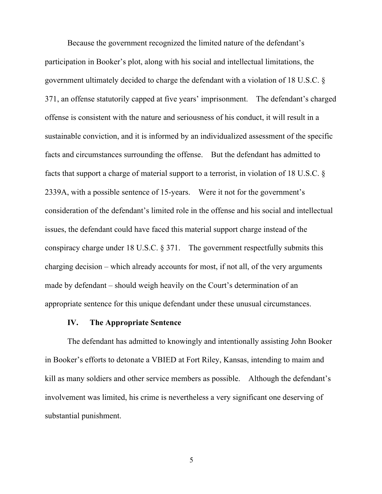Because the government recognized the limited nature of the defendant's participation in Booker's plot, along with his social and intellectual limitations, the government ultimately decided to charge the defendant with a violation of 18 U.S.C. § 371, an offense statutorily capped at five years' imprisonment. The defendant's charged offense is consistent with the nature and seriousness of his conduct, it will result in a sustainable conviction, and it is informed by an individualized assessment of the specific facts and circumstances surrounding the offense. But the defendant has admitted to facts that support a charge of material support to a terrorist, in violation of 18 U.S.C. § 2339A, with a possible sentence of 15-years. Were it not for the government's consideration of the defendant's limited role in the offense and his social and intellectual issues, the defendant could have faced this material support charge instead of the conspiracy charge under 18 U.S.C. § 371. The government respectfully submits this charging decision – which already accounts for most, if not all, of the very arguments made by defendant – should weigh heavily on the Court's determination of an appropriate sentence for this unique defendant under these unusual circumstances.

#### **IV. The Appropriate Sentence**

The defendant has admitted to knowingly and intentionally assisting John Booker in Booker's efforts to detonate a VBIED at Fort Riley, Kansas, intending to maim and kill as many soldiers and other service members as possible. Although the defendant's involvement was limited, his crime is nevertheless a very significant one deserving of substantial punishment.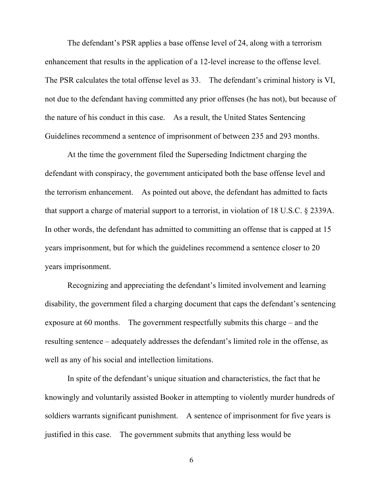The defendant's PSR applies a base offense level of 24, along with a terrorism enhancement that results in the application of a 12-level increase to the offense level. The PSR calculates the total offense level as 33. The defendant's criminal history is VI, not due to the defendant having committed any prior offenses (he has not), but because of the nature of his conduct in this case. As a result, the United States Sentencing Guidelines recommend a sentence of imprisonment of between 235 and 293 months.

At the time the government filed the Superseding Indictment charging the defendant with conspiracy, the government anticipated both the base offense level and the terrorism enhancement. As pointed out above, the defendant has admitted to facts that support a charge of material support to a terrorist, in violation of 18 U.S.C. § 2339A. In other words, the defendant has admitted to committing an offense that is capped at 15 years imprisonment, but for which the guidelines recommend a sentence closer to 20 years imprisonment.

Recognizing and appreciating the defendant's limited involvement and learning disability, the government filed a charging document that caps the defendant's sentencing exposure at 60 months. The government respectfully submits this charge – and the resulting sentence – adequately addresses the defendant's limited role in the offense, as well as any of his social and intellection limitations.

In spite of the defendant's unique situation and characteristics, the fact that he knowingly and voluntarily assisted Booker in attempting to violently murder hundreds of soldiers warrants significant punishment. A sentence of imprisonment for five years is justified in this case. The government submits that anything less would be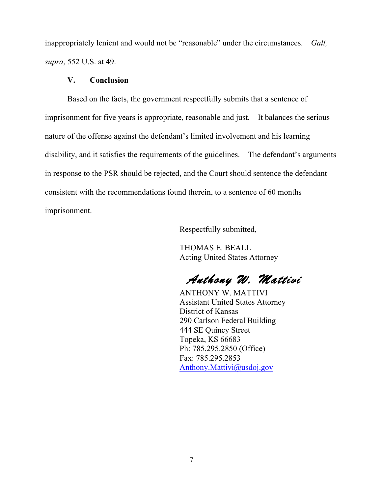inappropriately lenient and would not be "reasonable" under the circumstances. *Gall, supra*, 552 U.S. at 49.

## **V. Conclusion**

Based on the facts, the government respectfully submits that a sentence of imprisonment for five years is appropriate, reasonable and just. It balances the serious nature of the offense against the defendant's limited involvement and his learning disability, and it satisfies the requirements of the guidelines. The defendant's arguments in response to the PSR should be rejected, and the Court should sentence the defendant consistent with the recommendations found therein, to a sentence of 60 months imprisonment.

Respectfully submitted,

THOMAS E. BEALL Acting United States Attorney

 *Anthony W. Mattivi*

ANTHONY W. MATTIVI Assistant United States Attorney District of Kansas 290 Carlson Federal Building 444 SE Quincy Street Topeka, KS 66683 Ph: 785.295.2850 (Office) Fax: 785.295.2853 Anthony.Mattivi@usdoj.gov